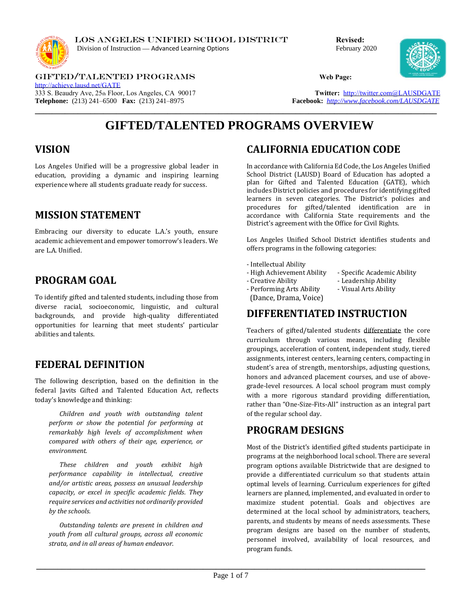

LOS ANGELES UNIFIED SCHOOL DISTRICT **Revised:**  Division of Instruction — Advanced Learning Options February 2020



GIFTED/TALENTED PROGRAMS **Web Page:**  <http://achieve.lausd.net/GATE> 333 S. Beaudry Ave, 25th Floor, Los Angeles, CA 90017 **Twitter: [http://twitter.com@LAUSDGATE](http://twitter.com@lausdgate/)**<br> **Telephone:** (213) 241–6500 **Fax:** (213) 241–8975 **Facebook:** http://www.facebook.com/LAUSDGATE **Telephone:** (213) 241–6500 **Fax:** (213) 241–8975

# **GIFTED/TALENTED PROGRAMS OVERVIEW**

**\_\_\_\_\_\_\_\_\_\_\_\_\_\_\_\_\_\_\_\_\_\_\_\_\_\_\_\_\_\_\_\_\_\_\_\_\_\_\_\_\_\_\_\_\_\_\_\_\_\_\_\_\_\_\_\_\_\_\_\_\_\_\_\_\_\_\_\_\_\_\_\_\_\_\_\_\_\_\_\_\_\_\_\_\_\_\_\_\_\_\_\_\_\_**

## **VISION**

Los Angeles Unified will be a progressive global leader in education, providing a dynamic and inspiring learning experience where all students graduate ready for success.

## **MISSION STATEMENT**

Embracing our diversity to educate L.A.'s youth, ensure academic achievement and empower tomorrow's leaders. We are L.A. Unified.

## **PROGRAM GOAL**

To identify gifted and talented students, including those from diverse racial, socioeconomic, linguistic, and cultural backgrounds, and provide high-quality differentiated opportunities for learning that meet students' particular abilities and talents.

### **FEDERAL DEFINITION**

The following description, based on the definition in the federal Javits Gifted and Talented Education Act, reflects today's knowledge and thinking:

*Children and youth with outstanding talent perform or show the potential for performing at remarkably high levels of accomplishment when compared with others of their age, experience, or environment.*

*These children and youth exhibit high performance capability in intellectual, creative and/or artistic areas, possess an unusual leadership capacity, or excel in specific academic fields. They require services and activities not ordinarily provided by the schools.*

*Outstanding talents are present in children and youth from all cultural groups, across all economic strata, and in all areas of human endeavor.*

## **CALIFORNIA EDUCATION CODE**

In accordance with California Ed Code, the Los Angeles Unified School District (LAUSD) Board of Education has adopted a plan for Gifted and Talented Education (GATE), which includes District policies and procedures for identifying gifted learners in seven categories. The District's policies and procedures for gifted/talented identification are in accordance with California State requirements and the District's agreement with the Office for Civil Rights.

Los Angeles Unified School District identifies students and offers programs in the following categories:

- Intellectual Ability
- High Achievement Ability Specific Academic Ability
	-
- Creative Ability  **Leadership Ability** 
	-

- Performing Arts Ability - Visual Arts Ability (Dance, Drama, Voice)

## **DIFFERENTIATED INSTRUCTION**

Teachers of gifted/talented students differentiate the core curriculum through various means, including flexible groupings, acceleration of content, independent study, tiered assignments, interest centers, learning centers, compacting in student's area of strength, mentorships, adjusting questions, honors and advanced placement courses, and use of abovegrade-level resources. A local school program must comply with a more rigorous standard providing differentiation, rather than "One-Size-Fits-All" instruction as an integral part of the regular school day.

### **PROGRAM DESIGNS**

Most of the District's identified gifted students participate in programs at the neighborhood local school. There are several program options available Districtwide that are designed to provide a differentiated curriculum so that students attain optimal levels of learning. Curriculum experiences for gifted learners are planned, implemented, and evaluated in order to maximize student potential. Goals and objectives are determined at the local school by administrators, teachers, parents, and students by means of needs assessments. These program designs are based on the number of students, personnel involved, availability of local resources, and program funds.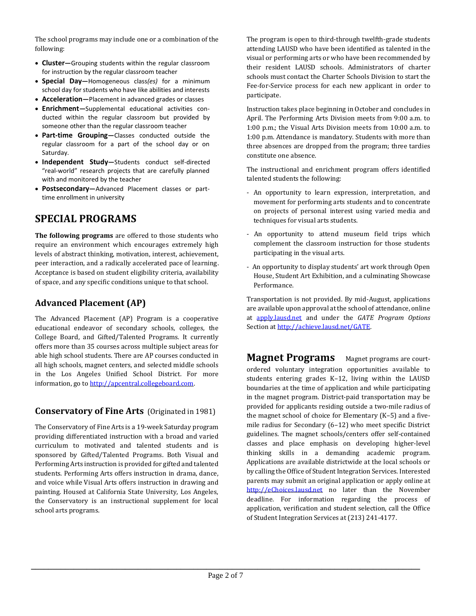The school programs may include one or a combination of the following:

- **Cluster—**Grouping students within the regular classroom for instruction by the regular classroom teacher
- **Special Day—**Homogeneous class*(es)* for a minimum school day for students who have like abilities and interests
- **Acceleration—**Placement in advanced grades or classes
- **Enrichment—**Supplemental educational activities conducted within the regular classroom but provided by someone other than the regular classroom teacher
- **Part-time Grouping—**Classes conducted outside the regular classroom for a part of the school day or on Saturday.
- **Independent Study—**Students conduct self-directed "real-world" research projects that are carefully planned with and monitored by the teacher
- **Postsecondary—**Advanced Placement classes or parttime enrollment in university

## **SPECIAL PROGRAMS**

**The following programs** are offered to those students who require an environment which encourages extremely high levels of abstract thinking, motivation, interest, achievement, peer interaction, and a radically accelerated pace of learning. Acceptance is based on student eligibility criteria, availability of space, and any specific conditions unique to that school.

### **Advanced Placement (AP)**

The Advanced Placement (AP) Program is a cooperative educational endeavor of secondary schools, colleges, the College Board, and Gifted/Talented Programs. It currently offers more than 35 courses across multiple subject areas for able high school students. There are AP courses conducted in all high schools, magnet centers, and selected middle schools in the Los Angeles Unified School District. For more information, go to [http://apcentral.collegeboard.com.](http://apcentral.collegeboard.com/)

### **Conservatory of Fine Arts** (Originated in 1981)

The Conservatory of Fine Arts is a 19-week Saturday program providing differentiated instruction with a broad and varied curriculum to motivated and talented students and is sponsored by Gifted/Talented Programs. Both Visual and Performing Arts instruction is provided for gifted and talented students. Performing Arts offers instruction in drama, dance, and voice while Visual Arts offers instruction in drawing and painting. Housed at California State University, Los Angeles, the Conservatory is an instructional supplement for local school arts programs.

The program is open to third-through twelfth-grade students attending LAUSD who have been identified as talented in the visual or performing arts or who have been recommended by their resident LAUSD schools. Administrators of charter schools must contact the Charter Schools Division to start the Fee-for-Service process for each new applicant in order to participate.

Instruction takes place beginning in October and concludes in April. The Performing Arts Division meets from 9:00 a.m. to 1:00 p.m.; the Visual Arts Division meets from 10:00 a.m. to 1:00 p.m. Attendance is mandatory. Students with more than three absences are dropped from the program; three tardies constitute one absence.

The instructional and enrichment program offers identified talented students the following:

- An opportunity to learn expression, interpretation, and movement for performing arts students and to concentrate on projects of personal interest using varied media and techniques for visual arts students.
- An opportunity to attend museum field trips which complement the classroom instruction for those students participating in the visual arts.
- An opportunity to display students' art work through Open House, Student Art Exhibition, and a culminating Showcase Performance.

Transportation is not provided. By mid-August, applications are available upon approval at the school of attendance, online at [apply.lausd.net](http://apply.lausd.net/) and under the *GATE Program Options* Section at [http://achieve.lausd.net/GATE.](http://achieve.lausd.net/GATE)

**Magnet Programs** Magnet programs are courtordered voluntary integration opportunities available to students entering grades K–12, living within the LAUSD boundaries at the time of application and while participating in the magnet program. District-paid transportation may be provided for applicants residing outside a two-mile radius of the magnet school of choice for Elementary (K–5) and a fivemile radius for Secondary (6–12) who meet specific District guidelines. The magnet schools/centers offer self-contained classes and place emphasis on developing higher-level thinking skills in a demanding academic program. Applications are available districtwide at the local schools or by calling the Office of Student Integration Services. Interested parents may submit an original application or apply online at [http://eChoices.lausd.net](http://echoices.lausd.net/) no later than the November deadline. For information regarding the process of application, verification and student selection, call the Office of Student Integration Services at (213) 241-4177.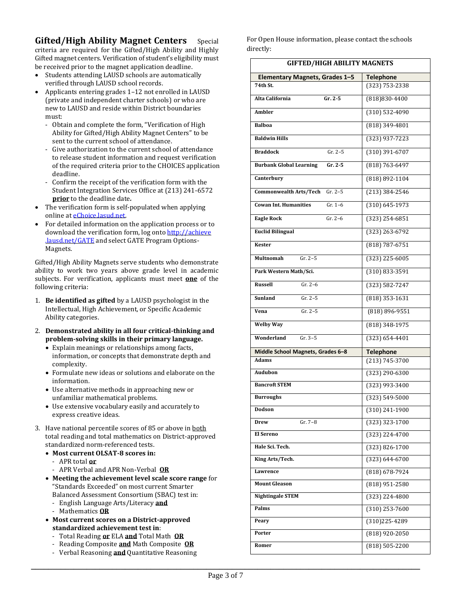**Gifted/High Ability Magnet Centers** Special criteria are required for the Gifted/High Ability and Highly Gifted magnet centers. Verification of student's eligibility must be received prior to the magnet application deadline.

- Students attending LAUSD schools are automatically verified through LAUSD school records.
- Applicants entering grades 1–12 not enrolled in LAUSD (private and independent charter schools) or who are new to LAUSD and reside within District boundaries must:
	- Obtain and complete the form, "Verification of High Ability for Gifted/High Ability Magnet Centers" to be sent to the current school of attendance.
	- Give authorization to the current school of attendance to release student information and request verification of the required criteria prior to the CHOICES application deadline.
	- Confirm the receipt of the verification form with the Student Integration Services Office at (213) 241-6572 **prior** to the deadline date*.*
- The verification form is self-populated when applying online a[t eChoice.lasud.net.](http://echoice.lasud.net/)
- For detailed information on the application process or to download the verification form, log onto http://achieve .lausd.net/GATE and select GATE Program Options-Magnets.

Gifted/High Ability Magnets serve students who demonstrate ability to work two years above grade level in academic subjects. For verification, applicants must meet **one** of the following criteria:

- 1. **Be identified as gifted** by a LAUSD psychologist in the Intellectual, High Achievement, or Specific Academic Ability categories.
- 2. **Demonstrated ability in all four critical-thinking and problem-solving skills in their primary language.**
	- Explain meanings or relationships among facts, information, or concepts that demonstrate depth and complexity.
	- Formulate new ideas or solutions and elaborate on the information.
	- Use alternative methods in approaching new or unfamiliar mathematical problems.
	- Use extensive vocabulary easily and accurately to express creative ideas.
- 3. Have national percentile scores of 85 or above in both total reading and total mathematics on District-approved standardized norm-referenced tests.
	- **Most current OLSAT-8 scores in:**
		- APR total **or**
		- APR Verbal and APR Non-Verbal **OR**
	- **Meeting the achievement level scale score range** for "Standards Exceeded" on most current Smarter Balanced Assessment Consortium (SBAC) test in:
		- English Language Arts/Literacy **and**
		- Mathematics **OR**
	- **Most current scores on a District-approved standardized achievement test in**:
		- Total Reading **or** ELA **and** Total Math **OR**
		- Reading Composite **and** Math Composite **OR**
		- Verbal Reasoning **and** Quantitative Reasoning

For Open House information, please contact the schools directly:

| <b>GIFTED/HIGH ABILITY MAGNETS</b>          |                    |  |
|---------------------------------------------|--------------------|--|
| Elementary Magnets, Grades 1-5              | <b>Telephone</b>   |  |
| 74th St.                                    | (323) 753-2338     |  |
| $Gr. 2-5$<br>Alta California                | (818) 830-4400     |  |
| Ambler                                      | (310) 532-4090     |  |
| <b>Balboa</b>                               | (818) 349-4801     |  |
| <b>Baldwin Hills</b>                        | (323) 937-7223     |  |
| $Gr. 2-5$<br><b>Braddock</b>                | $(310)$ 391-6707   |  |
| $Gr. 2-5$<br><b>Burbank Global Learning</b> | (818) 763-6497     |  |
| Canterbury                                  | (818) 892-1104     |  |
| <b>Commonwealth Arts/Tech</b><br>$Gr. 2-5$  | (213) 384-2546     |  |
| $Gr. 1-6$<br><b>Cowan Int. Humanities</b>   | $(310) 645 - 1973$ |  |
| $Gr. 2-6$<br><b>Eagle Rock</b>              | $(323)$ 254-6851   |  |
| <b>Euclid Bilingual</b>                     | $(323)$ 263-6792   |  |
| <b>Kester</b>                               | (818) 787-6751     |  |
| $Gr. 2-5$<br>Multnomah                      | (323) 225-6005     |  |
| Park Western Math/Sci.                      | (310) 833-3591     |  |
| $Gr. 2-6$<br><b>Russell</b>                 | (323) 582-7247     |  |
| $Gr. 2-5$<br>Sunland                        | $(818)$ 353-1631   |  |
| Vena<br>$Gr. 2-5$                           | (818) 896-9551     |  |
| <b>Welby Way</b>                            | (818) 348-1975     |  |
| Wonderland<br>$Gr. 3-5$                     | $(323) 654 - 4401$ |  |
| Middle School Magnets, Grades 6-8           | <b>Telephone</b>   |  |
| <b>Adams</b>                                | $(213) 745 - 3700$ |  |
| Audubon                                     | (323) 290-6300     |  |
| <b>Bancroft STEM</b>                        | (323) 993-3400     |  |
| <b>Burroughs</b>                            | (323) 549-5000     |  |
| Dodson                                      | (310) 241-1900     |  |
| Gr. 7-8<br>Drew                             | (323) 323-1700     |  |
| El Sereno                                   | (323) 224-4700     |  |
| Hale Sci. Tech.                             | (323) 826-1700     |  |
| King Arts/Tech.                             | $(323) 644 - 6700$ |  |
| Lawrence                                    | (818) 678-7924     |  |
| <b>Mount Gleason</b>                        | $(818)$ 951-2580   |  |
| <b>Nightingale STEM</b>                     | (323) 224-4800     |  |
| Palms                                       | $(310)$ 253-7600   |  |
| Peary                                       | (310) 225-4289     |  |
| Porter                                      | $(818)$ 920-2050   |  |
| Romer                                       | (818) 505-2200     |  |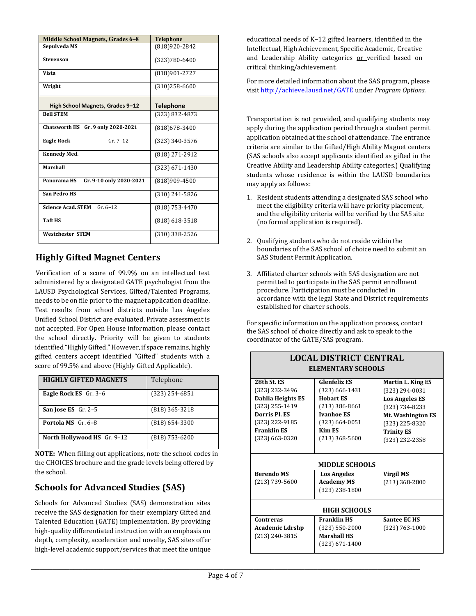| <b>Middle School Magnets, Grades 6-8</b> | <b>Telephone</b>   |
|------------------------------------------|--------------------|
| Sepulveda MS                             | (818) 920-2842     |
| Stevenson                                | (323)780-6400      |
| Vista                                    | (818)901-2727      |
| Wright                                   | $(310)258-6600$    |
| High School Magnets, Grades 9-12         | <b>Telephone</b>   |
| <b>Bell STEM</b>                         | (323) 832-4873     |
| Chatsworth HS Gr. 9 only 2020-2021       | (818) 678-3400     |
| $Gr. 7-12$<br><b>Eagle Rock</b>          | (323) 340-3576     |
| Kennedy Med.                             | (818) 271-2912     |
| <b>Marshall</b>                          | $(323) 671 - 1430$ |
| Panorama HS<br>Gr. 9-10 only 2020-2021   | (818)909-4500      |
| <b>San Pedro HS</b>                      | $(310)$ 241-5826   |
| $Gr. 6-12$<br><b>Science Acad. STEM</b>  | $(818)$ 753-4470   |
| <b>Taft HS</b>                           | $(818)$ 618-3518   |
| <b>Westchester STEM</b>                  | (310) 338-2526     |

## **Highly Gifted Magnet Centers**

Verification of a score of 99.9% on an intellectual test administered by a designated GATE psychologist from the LAUSD Psychological Services, Gifted/Talented Programs, needs to be on file prior to the magnet application deadline. Test results from school districts outside Los Angeles Unified School District are evaluated. Private assessment is not accepted. For Open House information, please contact the school directly. Priority will be given to students identified "Highly Gifted." However, if space remains, highly gifted centers accept identified "Gifted" students with a score of 99.5% and above (Highly Gifted Applicable).

| <b>HIGHLY GIFTED MAGNETS</b> | Telephone        |
|------------------------------|------------------|
| <b>Eagle Rock ES</b> Gr. 3-6 | $(323)$ 254-6851 |
| San Jose ES Gr. 2-5          | (818) 365-3218   |
| <b>Portola MS</b> $Gr. 6-8$  | $(818)$ 654-3300 |
| North Hollywood HS Gr. 9-12  | $(818)$ 753-6200 |

**NOTE:** When filling out applications, note the school codes in the CHOICES brochure and the grade levels being offered by the school.

## **Schools for Advanced Studies (SAS)**

Schools for Advanced Studies (SAS) demonstration sites receive the SAS designation for their exemplary Gifted and Talented Education (GATE) implementation. By providing high-quality differentiated instruction with an emphasis on depth, complexity, acceleration and novelty, SAS sites offer high-level academic support/services that meet the unique educational needs of K–12 gifted learners, identified in the Intellectual, High Achievement, Specific Academic, Creative and Leadership Ability categories or verified based on critical thinking/achievement.

For more detailed information about the SAS program, please visi[t http://achieve.lausd.net/GATE](http://achieve.lausd.net/GATE) under *Program Options.*

Transportation is not provided, and qualifying students may apply during the application period through a student permit application obtained at the school of attendance. The entrance criteria are similar to the Gifted/High Ability Magnet centers (SAS schools also accept applicants identified as gifted in the Creative Ability and Leadership Ability categories.) Qualifying students whose residence is within the LAUSD boundaries may apply as follows:

- 1. Resident students attending a designated SAS school who meet the eligibility criteria will have priority placement, and the eligibility criteria will be verified by the SAS site (no formal application is required).
- 2. Qualifying students who do not reside within the boundaries of the SAS school of choice need to submit an SAS Student Permit Application.
- 3. Affiliated charter schools with SAS designation are not permitted to participate in the SAS permit enrollment procedure. Participation must be conducted in accordance with the legal State and District requirements established for charter schools.

For specific information on the application process, contact the SAS school of choice directly and ask to speak to the coordinator of the GATE/SAS program.

**LOCAL DISTRICT CENTRAL** 

| <b>ELEMENTARY SCHOOLS</b>                                                                                                                           |                                                                                                                                                                   |                                                                                                                                                                       |  |  |
|-----------------------------------------------------------------------------------------------------------------------------------------------------|-------------------------------------------------------------------------------------------------------------------------------------------------------------------|-----------------------------------------------------------------------------------------------------------------------------------------------------------------------|--|--|
| 28th St. ES<br>(323) 232-3496<br>Dahlia Heights ES<br>(323) 255-1419<br>Dorris Pl. ES<br>(323) 222-9185<br><b>Franklin ES</b><br>$(323) 663 - 0320$ | <b>Glenfeliz ES</b><br>$(323) 666 - 1431$<br><b>Hobart ES</b><br>$(213)$ 386-8661<br><b>Ivanhoe ES</b><br>$(323) 664 - 0051$<br><b>Kim ES</b><br>$(213)$ 368-5600 | <b>Martin L. King ES</b><br>(323) 294-0031<br><b>Los Angeles ES</b><br>(323) 734-8233<br>Mt. Washington ES<br>(323) 225-8320<br><b>Trinity ES</b><br>$(323)$ 232-2358 |  |  |
| <b>MIDDLE SCHOOLS</b>                                                                                                                               |                                                                                                                                                                   |                                                                                                                                                                       |  |  |
| <b>Berendo MS</b>                                                                                                                                   | <b>Los Angeles</b>                                                                                                                                                | Virgil MS                                                                                                                                                             |  |  |
| (213) 739-5600                                                                                                                                      | <b>Academy MS</b><br>(323) 238-1800                                                                                                                               | $(213)$ 368-2800                                                                                                                                                      |  |  |
| <b>HIGH SCHOOLS</b>                                                                                                                                 |                                                                                                                                                                   |                                                                                                                                                                       |  |  |
| Contreras                                                                                                                                           | <b>Franklin HS</b>                                                                                                                                                | <b>Santee EC HS</b>                                                                                                                                                   |  |  |
| <b>Academic Ldrshp</b>                                                                                                                              | (323) 550-2000<br>$(323) 763 - 1000$                                                                                                                              |                                                                                                                                                                       |  |  |
| (213) 240-3815                                                                                                                                      | <b>Marshall HS</b><br>(323) 671-1400                                                                                                                              |                                                                                                                                                                       |  |  |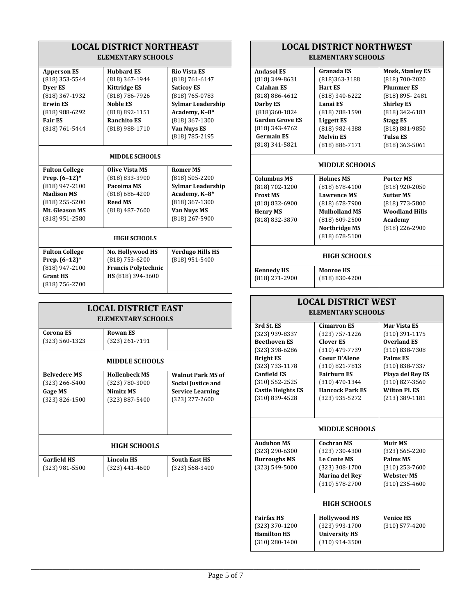| <b>LOCAL DISTRICT NORTHEAST</b> |                            |                          |  |
|---------------------------------|----------------------------|--------------------------|--|
| <b>ELEMENTARY SCHOOLS</b>       |                            |                          |  |
| <b>Apperson ES</b>              | <b>Hubbard ES</b>          | <b>Rio Vista ES</b>      |  |
| (818) 353-5544                  | (818) 367-1944             | (818) 761-6147           |  |
| Dyer ES                         | <b>Kittridge ES</b>        | <b>Saticoy ES</b>        |  |
| (818) 367-1932                  | (818) 786-7926             | (818) 765-0783           |  |
| <b>Erwin ES</b>                 | <b>Noble ES</b>            | <b>Sylmar Leadership</b> |  |
| (818) 988-6292                  | (818) 892-1151             | Academy, K-8*            |  |
| <b>Fair ES</b>                  | <b>Ranchito ES</b>         | (818) 367-1300           |  |
| (818) 761-5444                  | (818) 988-1710             | <b>Van Nuys ES</b>       |  |
|                                 |                            | (818) 785-2195           |  |
|                                 | <b>MIDDLE SCHOOLS</b>      |                          |  |
| <b>Fulton College</b>           | <b>Olive Vista MS</b>      | <b>Romer MS</b>          |  |
| Prep. (6-12)*                   | (818) 833-3900             | $(818)$ 505-2200         |  |
| (818) 947-2100                  | Pacoima MS                 | <b>Sylmar Leadership</b> |  |
| <b>Madison MS</b>               | $(818) 686 - 4200$         | Academy, K-8*            |  |
| (818) 255-5200                  | <b>Reed MS</b>             | (818) 367-1300           |  |
| Mt. Gleason MS                  | $(818)$ 487-7600           | <b>Van Nuys MS</b>       |  |
| (818) 951-2580                  |                            | (818) 267-5900           |  |
|                                 | <b>HIGH SCHOOLS</b>        |                          |  |
| <b>Fulton College</b>           | No. Hollywood HS           | <b>Verdugo Hills HS</b>  |  |
| Prep. (6-12)*                   | $(818)$ 753-6200           | (818) 951-5400           |  |
| (818) 947-2100                  | <b>Francis Polytechnic</b> |                          |  |
| <b>Grant HS</b>                 | HS (818) 394-3600          |                          |  |
| (818) 756-2700                  |                            |                          |  |
|                                 | <b>LOCAL DISTRICT EAST</b> |                          |  |
|                                 | <b>ELEMENTARY SCHOOLS</b>  |                          |  |
| Corona ES                       | <b>Rowan ES</b>            |                          |  |
| (323) 560-1323                  | (323) 261-7191             |                          |  |
| <b>MIDDLE SCHOOLS</b>           |                            |                          |  |
| <b>Belvedere MS</b>             | <b>Hollenbeck MS</b>       | <b>Walnut Park MS of</b> |  |
| (323) 266-5400                  | (323) 780-3000             | Social Justice and       |  |
| Gage MS                         | Nimitz MS                  | <b>Service Learning</b>  |  |
| (323) 826-1500                  | $(323) 887 - 5400$         | (323) 277-2600           |  |
|                                 |                            |                          |  |
|                                 |                            |                          |  |
|                                 |                            |                          |  |
| HIGH SCHOOLS                    |                            |                          |  |
| <b>Garfield HS</b>              | <b>Lincoln HS</b>          | <b>South East HS</b>     |  |
| $(323)$ 981-5500                | $(323)$ 441-4600           | $(323) 568 - 3400$       |  |
|                                 |                            |                          |  |

### **LOCAL DISTRICT NORTHWEST ELEMENTARY SCHOOLS**

| <b>Andasol ES</b>      | Granada ES                      | <b>Mosk, Stanley ES</b> |  |
|------------------------|---------------------------------|-------------------------|--|
| (818) 349-8631         | (818)363-3188<br>(818) 700-2020 |                         |  |
| <b>Calahan ES</b>      | <b>Hart ES</b>                  | <b>Plummer ES</b>       |  |
| $(818) 886 - 4612$     | (818) 340-6222                  | (818) 895-2481          |  |
| Darby ES               | Lanai ES                        | <b>Shirley ES</b>       |  |
| (818)360-1824          | $(818) 788 - 1590$              | $(818)$ 342-6183        |  |
| <b>Garden Grove ES</b> | <b>Liggett ES</b>               | <b>Stagg ES</b>         |  |
| (818) 343-4762         | (818) 982-4388                  | (818) 881-9850          |  |
| <b>Germain ES</b>      | <b>Melvin ES</b>                | <b>Tulsa ES</b>         |  |
| (818) 341-5821         | $(818) 886 - 7171$              | $(818)$ 363-5061        |  |
|                        |                                 |                         |  |
| <b>MIDDLE SCHOOLS</b>  |                                 |                         |  |
| <b>Columbus MS</b>     | <b>Holmes MS</b>                | <b>Porter MS</b>        |  |
| $(818) 702 - 1200$     | $(818) 678 - 4100$              | (818) 920-2050          |  |
| <b>Frost MS</b>        | <b>Lawrence MS</b>              | <b>Sutter MS</b>        |  |
| $(818) 832 - 6900$     | $(818)$ 678-7900                | (818) 773-5800          |  |
| <b>Henry MS</b>        | <b>Mulholland MS</b>            | <b>Woodland Hills</b>   |  |
| (818) 832-3870         | $(818)$ 609-2500                | Academy                 |  |
|                        | <b>Northridge MS</b>            | (818) 226-2900          |  |
|                        | $(818)$ 678-5100                |                         |  |
|                        |                                 |                         |  |
| <b>HIGH SCHOOLS</b>    |                                 |                         |  |
| <b>Kennedy HS</b>      | <b>Monroe HS</b>                |                         |  |
| (818) 271-2900         | $(818) 830 - 4200$              |                         |  |
|                        |                                 |                         |  |

| <b>LOCAL DISTRICT WEST</b> |                        |                      |  |
|----------------------------|------------------------|----------------------|--|
| <b>ELEMENTARY SCHOOLS</b>  |                        |                      |  |
| 3rd St. ES                 | <b>Cimarron ES</b>     | <b>Mar Vista ES</b>  |  |
| (323) 939-8337             | (323) 757-1226         | (310) 391-1175       |  |
| <b>Beethoven ES</b>        | <b>Clover ES</b>       | <b>Overland ES</b>   |  |
| (323) 398-6286             | (310) 479-7739         | $(310) 838 - 7308$   |  |
| <b>Bright ES</b>           | <b>Coeur D'Alene</b>   | Palms ES             |  |
| (323) 733-1178             | $(310) 821 - 7813$     | $(310) 838 - 7337$   |  |
| <b>Canfield ES</b>         | <b>Fairburn ES</b>     | Playa del Rey ES     |  |
| $(310) 552 - 2525$         | $(310)$ 470-1344       | $(310)$ 827-3560     |  |
| <b>Castle Heights ES</b>   | <b>Hancock Park ES</b> | <b>Wilton Pl. ES</b> |  |
| $(310) 839 - 4528$         | (323) 935-5272         | $(213)$ 389-1181     |  |
|                            |                        |                      |  |
|                            |                        |                      |  |
| <b>MIDDLE SCHOOLS</b>      |                        |                      |  |
| <b>Audubon MS</b>          | <b>Cochran MS</b>      | Muir MS              |  |
| (323) 290-6300             | (323) 730-4300         | $(323) 565 - 2200$   |  |
| <b>Burroughs MS</b>        | <b>Le Conte MS</b>     | Palms MS             |  |
| (323) 549-5000             | (323) 308-1700         | $(310)$ 253-7600     |  |
|                            | <b>Marina del Rey</b>  | <b>Webster MS</b>    |  |
|                            | $(310) 578 - 2700$     | $(310)$ 235-4600     |  |
|                            |                        |                      |  |
| <b>HIGH SCHOOLS</b>        |                        |                      |  |
| <b>Fairfax HS</b>          | <b>Hollywood HS</b>    | <b>Venice HS</b>     |  |
| (323) 370-1200             | (323) 993-1700         | $(310)$ 577-4200     |  |
| <b>Hamilton HS</b>         | <b>University HS</b>   |                      |  |
| $(310)$ 280-1400           | $(310)$ 914-3500       |                      |  |
|                            |                        |                      |  |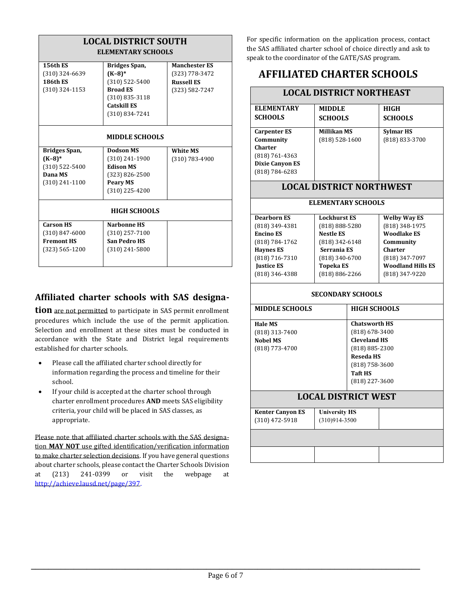| <b>LOCAL DISTRICT SOUTH</b> |                     |                      |  |
|-----------------------------|---------------------|----------------------|--|
| ELEMENTARY SCHOOLS          |                     |                      |  |
| <b>156th ES</b>             | Bridges Span,       | <b>Manchester ES</b> |  |
| (310) 324-6639              | $(K-8)*$            | (323) 778-3472       |  |
| <b>186th ES</b>             | $(310)$ 522-5400    | <b>Russell ES</b>    |  |
| (310) 324-1153              | <b>Broad ES</b>     | (323) 582-7247       |  |
|                             | $(310)$ 835-3118    |                      |  |
|                             | Catskill ES         |                      |  |
|                             | (310) 834-7241      |                      |  |
| <b>MIDDLE SCHOOLS</b>       |                     |                      |  |
| Bridges Span,               | Dodson MS           | <b>White MS</b>      |  |
| $(K-8)*$                    | (310) 241-1900      | (310) 783-4900       |  |
| (310) 522-5400              | <b>Edison MS</b>    |                      |  |
| Dana MS                     | $(323) 826 - 2500$  |                      |  |
| $(310)$ 241-1100            | <b>Peary MS</b>     |                      |  |
|                             | $(310)$ 225-4200    |                      |  |
| <b>HIGH SCHOOLS</b>         |                     |                      |  |
| <b>Carson HS</b>            | Narhonne HS         |                      |  |
| $(310) 847 - 6000$          | $(310)$ 257-7100    |                      |  |
| <b>Fremont HS</b>           | <b>San Pedro HS</b> |                      |  |
| (323) 565-1200              | $(310)$ 241-5800    |                      |  |
|                             |                     |                      |  |

### **Affiliated charter schools with SAS designa-**

**tion** are not permitted to participate in SAS permit enrollment procedures which include the use of the permit application. Selection and enrollment at these sites must be conducted in accordance with the State and District legal requirements established for charter schools.

- Please call the affiliated charter school directly for information regarding the process and timeline for their school.
- If your child is accepted at the charter school through charter enrollment procedures **AND** meets SAS eligibility criteria, your child will be placed in SAS classes, as appropriate.

Please note that affiliated charter schools with the SAS designation **MAY NOT** use gifted identification/verification information to make charter selection decisions. If you have general questions about charter schools, please contact the Charter Schools Division at (213) 241-0399 or visit the webpage at [http://achieve.lausd.net/page/397.](http://achieve.lausd.net/page/397)

For specific information on the application process, contact the SAS affiliated charter school of choice directly and ask to speak to the coordinator of the GATE/SAS program.

## **AFFILIATED CHARTER SCHOOLS**

| <b>LOCAL DISTRICT NORTHEAST</b>                                                                                                                         |                                                                                                                                                               |                    |                                                                                                                                                            |
|---------------------------------------------------------------------------------------------------------------------------------------------------------|---------------------------------------------------------------------------------------------------------------------------------------------------------------|--------------------|------------------------------------------------------------------------------------------------------------------------------------------------------------|
| <b>ELEMENTARY</b><br><b>SCHOOLS</b>                                                                                                                     | <b>MIDDLE</b><br><b>SCHOOLS</b>                                                                                                                               |                    | <b>HIGH</b><br><b>SCHOOLS</b>                                                                                                                              |
| Carpenter ES<br>Community<br><b>Charter</b><br>(818) 761-4363<br><b>Dixie Canyon ES</b><br>(818) 784-6283                                               | <b>Millikan MS</b><br>$(818)$ 528-1600                                                                                                                        |                    | <b>Sylmar HS</b><br>(818) 833-3700                                                                                                                         |
|                                                                                                                                                         |                                                                                                                                                               |                    | <b>LOCAL DISTRICT NORTHWEST</b>                                                                                                                            |
|                                                                                                                                                         |                                                                                                                                                               | ELEMENTARY SCHOOLS |                                                                                                                                                            |
| <b>Dearborn ES</b><br>(818) 349-4381<br><b>Encino ES</b><br>(818) 784-1762<br><b>Haynes ES</b><br>(818) 716-7310<br><b>Justice ES</b><br>(818) 346-4388 | <b>Lockhurst ES</b><br>(818) 888-5280<br><b>Nestle ES</b><br>(818) 342-6148<br>Serrania ES<br>(818) 340-6700<br><b>Topeka ES</b><br>(818) 886-2266            |                    | <b>Welby Way ES</b><br>(818) 348-1975<br><b>Woodlake ES</b><br>Community<br><b>Charter</b><br>(818) 347-7097<br><b>Woodland Hills ES</b><br>(818) 347-9220 |
| <b>SECONDARY SCHOOLS</b>                                                                                                                                |                                                                                                                                                               |                    |                                                                                                                                                            |
| <b>MIDDLE SCHOOLS</b>                                                                                                                                   | <b>HIGH SCHOOLS</b>                                                                                                                                           |                    |                                                                                                                                                            |
| <b>Hale MS</b><br>(818) 313-7400<br><b>Nobel MS</b><br>(818) 773-4700                                                                                   | <b>Chatsworth HS</b><br>$(818)$ 678-3400<br><b>Cleveland HS</b><br>(818) 885-2300<br><b>Reseda HS</b><br>(818) 758-3600<br><b>Taft HS</b><br>$(818)$ 227-3600 |                    |                                                                                                                                                            |
| <b>LOCAL DISTRICT WEST</b>                                                                                                                              |                                                                                                                                                               |                    |                                                                                                                                                            |
| <b>Kenter Canyon ES</b><br>$(310)$ 472-5918                                                                                                             | <b>University HS</b><br>$(310)914 - 3500$                                                                                                                     |                    |                                                                                                                                                            |
|                                                                                                                                                         |                                                                                                                                                               |                    |                                                                                                                                                            |